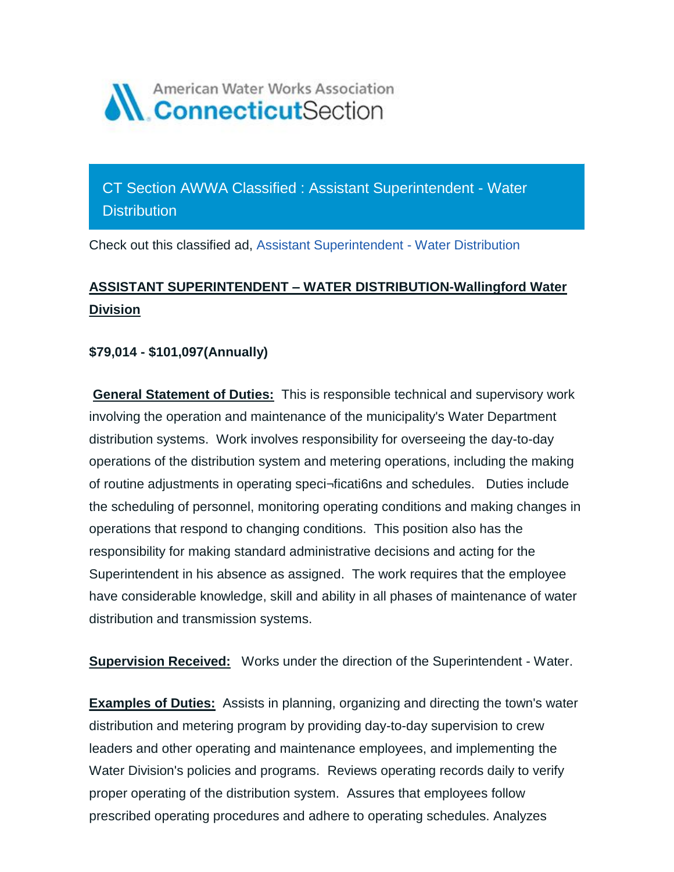

CT Section AWWA Classified : Assistant Superintendent - Water **Distribution** 

Check out this classified ad, [Assistant Superintendent -](https://ctawwa.org/ad-click.php?record_number=384&url=classifieds.php?record_number=384&source=email) Water Distribution

## **ASSISTANT SUPERINTENDENT – WATER DISTRIBUTION-Wallingford Water Division**

## **\$79,014 - \$101,097(Annually)**

**General Statement of Duties:** This is responsible technical and supervisory work involving the operation and maintenance of the municipality's Water Department distribution systems. Work involves responsibility for overseeing the day-to-day operations of the distribution system and metering operations, including the making of routine adjustments in operating speci¬ficati6ns and schedules. Duties include the scheduling of personnel, monitoring operating conditions and making changes in operations that respond to changing conditions. This position also has the responsibility for making standard administrative decisions and acting for the Superintendent in his absence as assigned. The work requires that the employee have considerable knowledge, skill and ability in all phases of maintenance of water distribution and transmission systems.

**Supervision Received:** Works under the direction of the Superintendent - Water.

**Examples of Duties:** Assists in planning, organizing and directing the town's water distribution and metering program by providing day-to-day supervision to crew leaders and other operating and maintenance employees, and implementing the Water Division's policies and programs. Reviews operating records daily to verify proper operating of the distribution system. Assures that employees follow prescribed operating procedures and adhere to operating schedules. Analyzes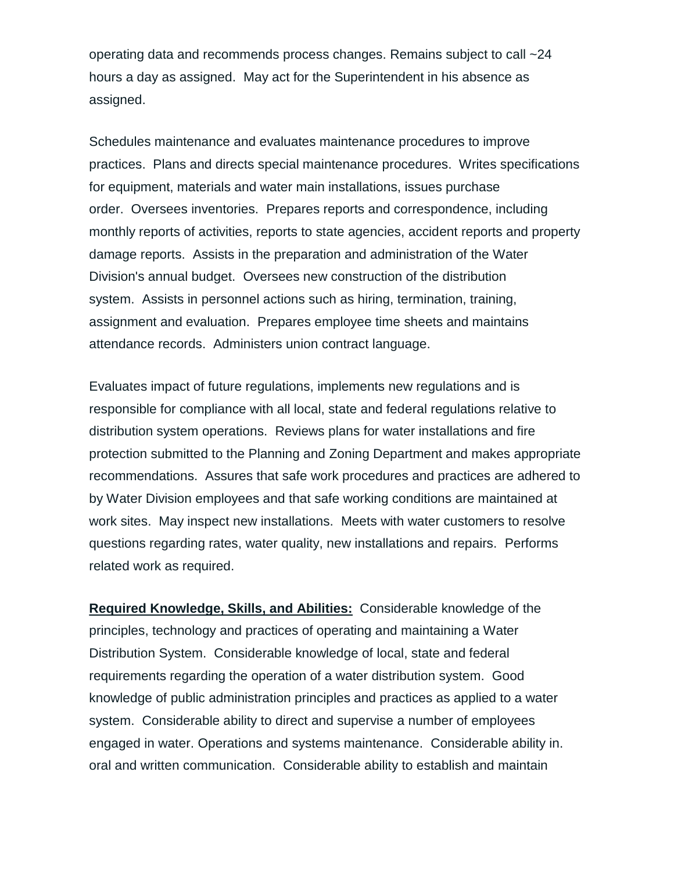operating data and recommends process changes. Remains subject to call ~24 hours a day as assigned. May act for the Superintendent in his absence as assigned.

Schedules maintenance and evaluates maintenance procedures to improve practices. Plans and directs special maintenance procedures. Writes specifications for equipment, materials and water main installations, issues purchase order. Oversees inventories. Prepares reports and correspondence, including monthly reports of activities, reports to state agencies, accident reports and property damage reports. Assists in the preparation and administration of the Water Division's annual budget. Oversees new construction of the distribution system. Assists in personnel actions such as hiring, termination, training, assignment and evaluation. Prepares employee time sheets and maintains attendance records. Administers union contract language.

Evaluates impact of future regulations, implements new regulations and is responsible for compliance with all local, state and federal regulations relative to distribution system operations. Reviews plans for water installations and fire protection submitted to the Planning and Zoning Department and makes appropriate recommendations. Assures that safe work procedures and practices are adhered to by Water Division employees and that safe working conditions are maintained at work sites. May inspect new installations. Meets with water customers to resolve questions regarding rates, water quality, new installations and repairs. Performs related work as required.

**Required Knowledge, Skills, and Abilities:** Considerable knowledge of the principles, technology and practices of operating and maintaining a Water Distribution System. Considerable knowledge of local, state and federal requirements regarding the operation of a water distribution system. Good knowledge of public administration principles and practices as applied to a water system. Considerable ability to direct and supervise a number of employees engaged in water. Operations and systems maintenance. Considerable ability in. oral and written communication. Considerable ability to establish and maintain